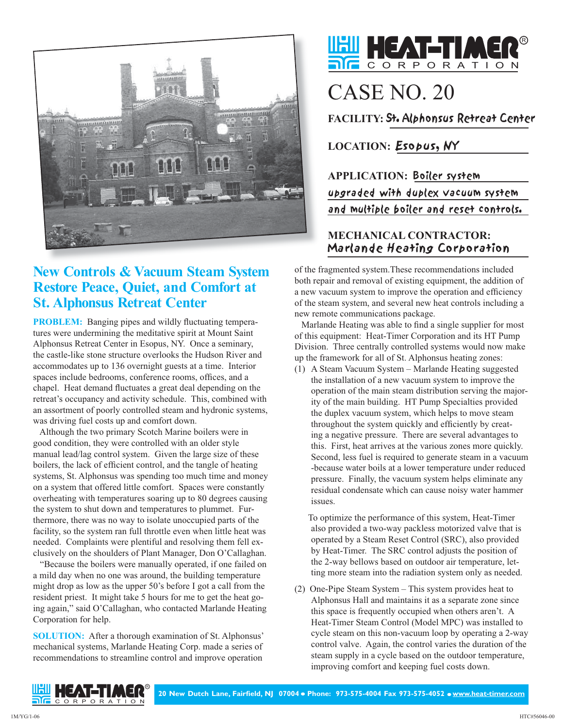

## **New Controls & Vacuum Steam System Restore Peace, Quiet, and Comfort at St. Alphonsus Retreat Center**

**PROBLEM:** Banging pipes and wildly fluctuating temperatures were undermining the meditative spirit at Mount Saint Alphonsus Retreat Center in Esopus, NY. Once a seminary, the castle-like stone structure overlooks the Hudson River and accommodates up to 136 overnight guests at a time. Interior spaces include bedrooms, conference rooms, offices, and a chapel. Heat demand fluctuates a great deal depending on the retreat's occupancy and activity schedule. This, combined with an assortment of poorly controlled steam and hydronic systems, was driving fuel costs up and comfort down.

 Although the two primary Scotch Marine boilers were in good condition, they were controlled with an older style manual lead/lag control system. Given the large size of these boilers, the lack of efficient control, and the tangle of heating systems, St. Alphonsus was spending too much time and money on a system that offered little comfort. Spaces were constantly overheating with temperatures soaring up to 80 degrees causing the system to shut down and temperatures to plummet. Furthermore, there was no way to isolate unoccupied parts of the facility, so the system ran full throttle even when little heat was needed. Complaints were plentiful and resolving them fell exclusively on the shoulders of Plant Manager, Don O'Callaghan.

 "Because the boilers were manually operated, if one failed on a mild day when no one was around, the building temperature might drop as low as the upper 50's before I got a call from the resident priest. It might take 5 hours for me to get the heat going again," said O'Callaghan, who contacted Marlande Heating Corporation for help.

**SOLUTION:** After a thorough examination of St. Alphonsus' mechanical systems, Marlande Heating Corp. made a series of recommendations to streamline control and improve operation



# CASE NO. 20

**FACILITY:** St. Alphonsus Retreat Center

### **LOCATION:** Esopus, NY

**APPLICATION:** Boiler system upgraded with duplex vacuum system and multiple boiler and reset controls.

#### **MECHANICAL CONTRACTOR:** Marlande Heating Corporation

of the fragmented system.These recommendations included both repair and removal of existing equipment, the addition of a new vacuum system to improve the operation and efficiency of the steam system, and several new heat controls including a new remote communications package.

 Marlande Heating was able to find a single supplier for most of this equipment: Heat-Timer Corporation and its HT Pump Division. Three centrally controlled systems would now make up the framework for all of St. Alphonsus heating zones:

(1) A Steam Vacuum System – Marlande Heating suggested the installation of a new vacuum system to improve the operation of the main steam distribution serving the majority of the main building. HT Pump Specialties provided the duplex vacuum system, which helps to move steam throughout the system quickly and efficiently by creating a negative pressure. There are several advantages to this. First, heat arrives at the various zones more quickly. Second, less fuel is required to generate steam in a vacuum -because water boils at a lower temperature under reduced pressure. Finally, the vacuum system helps eliminate any residual condensate which can cause noisy water hammer issues.

 To optimize the performance of this system, Heat-Timer also provided a two-way packless motorized valve that is operated by a Steam Reset Control (SRC), also provided by Heat-Timer. The SRC control adjusts the position of the 2-way bellows based on outdoor air temperature, letting more steam into the radiation system only as needed.

(2) One-Pipe Steam System – This system provides heat to Alphonsus Hall and maintains it as a separate zone since this space is frequently occupied when others aren't. A Heat-Timer Steam Control (Model MPC) was installed to cycle steam on this non-vacuum loop by operating a 2-way control valve. Again, the control varies the duration of the steam supply in a cycle based on the outdoor temperature, improving comfort and keeping fuel costs down.